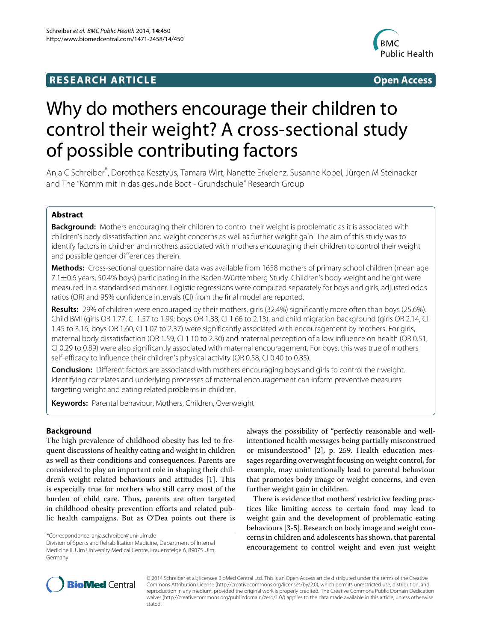## **RESEARCH ARTICLE Open Access**



# Why do mothers encourage their children to control their weight? A cross-sectional study of possible contributing factors

Anja C Schreiber\* , Dorothea Kesztyüs, Tamara Wirt, Nanette Erkelenz, Susanne Kobel, Jürgen M Steinacker and The "Komm mit in das gesunde Boot - Grundschule" Research Group

## **Abstract**

**Background:** Mothers encouraging their children to control their weight is problematic as it is associated with children's body dissatisfaction and weight concerns as well as further weight gain. The aim of this study was to identify factors in children and mothers associated with mothers encouraging their children to control their weight and possible gender differences therein.

**Methods:** Cross-sectional questionnaire data was available from 1658 mothers of primary school children (mean age 7.1±0.6 years, 50.4% boys) participating in the Baden-Württemberg Study. Children's body weight and height were measured in a standardised manner. Logistic regressions were computed separately for boys and girls, adjusted odds ratios (OR) and 95% confidence intervals (CI) from the final model are reported.

**Results:** 29% of children were encouraged by their mothers, girls (32.4%) significantly more often than boys (25.6%). Child BMI (girls OR 1.77, CI 1.57 to 1.99; boys OR 1.88, CI 1.66 to 2.13), and child migration background (girls OR 2.14, CI 1.45 to 3.16; boys OR 1.60, CI 1.07 to 2.37) were significantly associated with encouragement by mothers. For girls, maternal body dissatisfaction (OR 1.59, CI 1.10 to 2.30) and maternal perception of a low influence on health (OR 0.51, CI 0.29 to 0.89) were also significantly associated with maternal encouragement. For boys, this was true of mothers self-efficacy to influence their children's physical activity (OR 0.58, CI 0.40 to 0.85).

**Conclusion:** Different factors are associated with mothers encouraging boys and girls to control their weight. Identifying correlates and underlying processes of maternal encouragement can inform preventive measures targeting weight and eating related problems in children.

**Keywords:** Parental behaviour, Mothers, Children, Overweight

## **Background**

The high prevalence of childhood obesity has led to frequent discussions of healthy eating and weight in children as well as their conditions and consequences. Parents are considered to play an important role in shaping their children's weight related behaviours and attitudes [\[1\]](#page-6-0). This is especially true for mothers who still carry most of the burden of child care. Thus, parents are often targeted in childhood obesity prevention efforts and related public health campaigns. But as O'Dea points out there is

always the possibility of "perfectly reasonable and wellintentioned health messages being partially misconstrued or misunderstood" [\[2\]](#page-6-1), p. 259. Health education messages regarding overweight focusing on weight control, for example, may unintentionally lead to parental behaviour that promotes body image or weight concerns, and even further weight gain in children.

There is evidence that mothers' restrictive feeding practices like limiting access to certain food may lead to weight gain and the development of problematic eating behaviours [\[3](#page-6-2)[-5\]](#page-6-3). Research on body image and weight concerns in children and adolescents has shown, that parental encouragement to control weight and even just weight



© 2014 Schreiber et al.; licensee BioMed Central Ltd. This is an Open Access article distributed under the terms of the Creative Commons Attribution License [\(http://creativecommons.org/licenses/by/2.0\)](http://creativecommons.org/licenses/by/2.0), which permits unrestricted use, distribution, and reproduction in any medium, provided the original work is properly credited. The Creative Commons Public Domain Dedication waiver [\(http://creativecommons.org/publicdomain/zero/1.0/\)](http://creativecommons.org/publicdomain/zero/1.0/) applies to the data made available in this article, unless otherwise stated.

<sup>\*</sup>Correspondence: anja.schreiber@uni-ulm.de

Division of Sports and Rehabilitation Medicine, Department of Internal Medicine II, Ulm University Medical Centre, Frauensteige 6, 89075 Ulm, Germany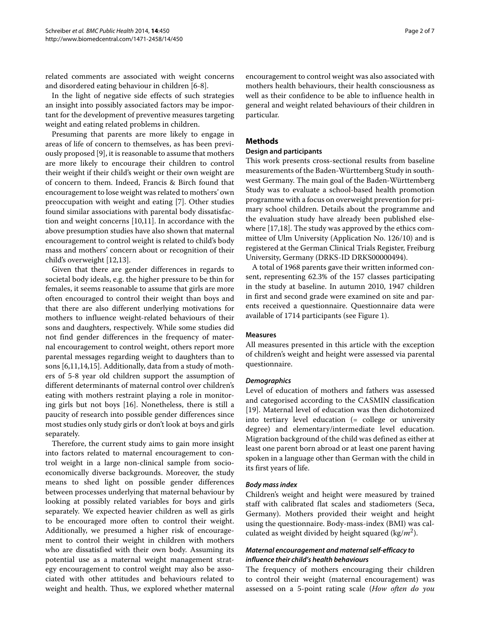related comments are associated with weight concerns and disordered eating behaviour in children [\[6](#page-6-4)[-8\]](#page-6-5).

In the light of negative side effects of such strategies an insight into possibly associated factors may be important for the development of preventive measures targeting weight and eating related problems in children.

Presuming that parents are more likely to engage in areas of life of concern to themselves, as has been previously proposed [\[9\]](#page-6-6), it is reasonable to assume that mothers are more likely to encourage their children to control their weight if their child's weight or their own weight are of concern to them. Indeed, Francis & Birch found that encouragement to lose weight was related to mothers' own preoccupation with weight and eating [\[7\]](#page-6-7). Other studies found similar associations with parental body dissatisfaction and weight concerns [\[10,](#page-6-8)[11\]](#page-6-9). In accordance with the above presumption studies have also shown that maternal encouragement to control weight is related to child's body mass and mothers' concern about or recognition of their child's overweight [\[12](#page-6-10)[,13\]](#page-6-11).

Given that there are gender differences in regards to societal body ideals, e.g. the higher pressure to be thin for females, it seems reasonable to assume that girls are more often encouraged to control their weight than boys and that there are also different underlying motivations for mothers to influence weight-related behaviours of their sons and daughters, respectively. While some studies did not find gender differences in the frequency of maternal encouragement to control weight, others report more parental messages regarding weight to daughters than to sons [\[6](#page-6-4)[,11,](#page-6-9)[14,](#page-6-12)[15\]](#page-6-13). Additionally, data from a study of mothers of 5-8 year old children support the assumption of different determinants of maternal control over children's eating with mothers restraint playing a role in monitoring girls but not boys [\[16\]](#page-6-14). Nonetheless, there is still a paucity of research into possible gender differences since most studies only study girls or don't look at boys and girls separately.

Therefore, the current study aims to gain more insight into factors related to maternal encouragement to control weight in a large non-clinical sample from socioeconomically diverse backgrounds. Moreover, the study means to shed light on possible gender differences between processes underlying that maternal behaviour by looking at possibly related variables for boys and girls separately. We expected heavier children as well as girls to be encouraged more often to control their weight. Additionally, we presumed a higher risk of encouragement to control their weight in children with mothers who are dissatisfied with their own body. Assuming its potential use as a maternal weight management strategy encouragement to control weight may also be associated with other attitudes and behaviours related to weight and health. Thus, we explored whether maternal

encouragement to control weight was also associated with mothers health behaviours, their health consciousness as well as their confidence to be able to influence health in general and weight related behaviours of their children in particular.

## **Methods**

## **Design and participants**

This work presents cross-sectional results from baseline measurements of the Baden-Württemberg Study in southwest Germany. The main goal of the Baden-Württemberg Study was to evaluate a school-based health promotion programme with a focus on overweight prevention for primary school children. Details about the programme and the evaluation study have already been published elsewhere [\[17](#page-6-15)[,18\]](#page-6-16). The study was approved by the ethics committee of Ulm University (Application No. 126/10) and is registered at the German Clinical Trials Register, Freiburg University, Germany (DRKS-ID DRKS00000494).

A total of 1968 parents gave their written informed consent, representing 62.3% of the 157 classes participating in the study at baseline. In autumn 2010, 1947 children in first and second grade were examined on site and parents received a questionnaire. Questionnaire data were available of 1714 participants (see Figure [1\)](#page-2-0).

## **Measures**

All measures presented in this article with the exception of children's weight and height were assessed via parental questionnaire.

#### *Demographics*

Level of education of mothers and fathers was assessed and categorised according to the CASMIN classification [\[19\]](#page-6-17). Maternal level of education was then dichotomized into tertiary level education (= college or university degree) and elementary/intermediate level education. Migration background of the child was defined as either at least one parent born abroad or at least one parent having spoken in a language other than German with the child in its first years of life.

#### *Body mass index*

Children's weight and height were measured by trained staff with calibrated flat scales and stadiometers (Seca, Germany). Mothers provided their weight and height using the questionnaire. Body-mass-index (BMI) was calculated as weight divided by height squared (kg/*m*2).

## *Maternal encouragement and maternal self-efficacy to influence their child's health behaviours*

The frequency of mothers encouraging their children to control their weight (maternal encouragement) was assessed on a 5-point rating scale (*How often do you*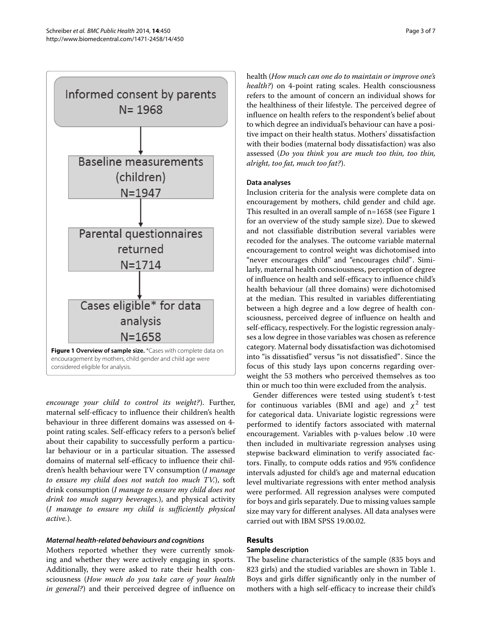

<span id="page-2-0"></span>*encourage your child to control its weight?*). Further, maternal self-efficacy to influence their children's health behaviour in three different domains was assessed on 4 point rating scales. Self-efficacy refers to a person's belief about their capability to successfully perform a particular behaviour or in a particular situation. The assessed domains of maternal self-efficacy to influence their children's health behaviour were TV consumption (*I manage to ensure my child does not watch too much TV.*), soft drink consumption (*I manage to ensure my child does not drink too much sugary beverages.*), and physical activity (*I manage to ensure my child is sufficiently physical active.*).

## *Maternal health-related behaviours and cognitions*

Mothers reported whether they were currently smoking and whether they were actively engaging in sports. Additionally, they were asked to rate their health consciousness (*How much do you take care of your health in general?*) and their perceived degree of influence on

health (*How much can one do to maintain or improve one's health?*) on 4-point rating scales. Health consciousness refers to the amount of concern an individual shows for the healthiness of their lifestyle. The perceived degree of influence on health refers to the respondent's belief about to which degree an individual's behaviour can have a positive impact on their health status. Mothers' dissatisfaction with their bodies (maternal body dissatisfaction) was also assessed (*Do you think you are much too thin, too thin, alright, too fat, much too fat?*).

## **Data analyses**

Inclusion criteria for the analysis were complete data on encouragement by mothers, child gender and child age. This resulted in an overall sample of n=1658 (see Figure [1](#page-2-0) for an overview of the study sample size). Due to skewed and not classifiable distribution several variables were recoded for the analyses. The outcome variable maternal encouragement to control weight was dichotomised into "never encourages child" and "encourages child". Similarly, maternal health consciousness, perception of degree of influence on health and self-efficacy to influence child's health behaviour (all three domains) were dichotomised at the median. This resulted in variables differentiating between a high degree and a low degree of health consciousness, perceived degree of influence on health and self-efficacy, respectively. For the logistic regression analyses a low degree in those variables was chosen as reference category. Maternal body dissatisfaction was dichotomised into "is dissatisfied" versus "is not dissatisfied". Since the focus of this study lays upon concerns regarding overweight the 53 mothers who perceived themselves as too thin or much too thin were excluded from the analysis.

Gender differences were tested using student's t-test for continuous variables (BMI and age) and  $\chi^2$  test for categorical data. Univariate logistic regressions were performed to identify factors associated with maternal encouragement. Variables with p-values below .10 were then included in multivariate regression analyses using stepwise backward elimination to verify associated factors. Finally, to compute odds ratios and 95% confidence intervals adjusted for child's age and maternal education level multivariate regressions with enter method analysis were performed. All regression analyses were computed for boys and girls separately. Due to missing values sample size may vary for different analyses. All data analyses were carried out with IBM SPSS 19.00.02.

## **Results**

## **Sample description**

The baseline characteristics of the sample (835 boys and 823 girls) and the studied variables are shown in Table [1.](#page-3-0) Boys and girls differ significantly only in the number of mothers with a high self-efficacy to increase their child's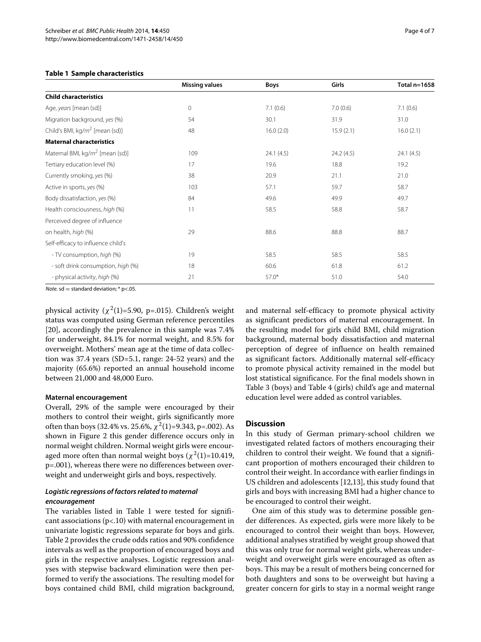## <span id="page-3-0"></span>**Table 1 Sample characteristics**

|                                     | <b>Missing values</b> | <b>Boys</b> | Girls     | Total n=1658 |
|-------------------------------------|-----------------------|-------------|-----------|--------------|
| <b>Child characteristics</b>        |                       |             |           |              |
| Age, years [mean (sd)]              | $\mathbf{0}$          | 7.1(0.6)    | 7.0(0.6)  | 7.1(0.6)     |
| Migration background, yes (%)       | 54                    | 30.1        | 31.9      | 31.0         |
| Child's BMI, kg/ $m^2$ [mean (sd)]  | 48                    | 16.0(2.0)   | 15.9(2.1) | 16.0(2.1)    |
| <b>Maternal characteristics</b>     |                       |             |           |              |
| Maternal BMI, kg/ $m^2$ [mean (sd)] | 109                   | 24.1(4.5)   | 24.2(4.5) | 24.1(4.5)    |
| Tertiary education level (%)        | 17                    | 19.6        | 18.8      | 19.2         |
| Currently smoking, yes (%)          | 38                    | 20.9        | 21.1      | 21.0         |
| Active in sports, yes (%)           | 103                   | 57.1        | 59.7      | 58.7         |
| Body dissatisfaction, yes (%)       | 84                    | 49.6        | 49.9      | 49.7         |
| Health consciousness, high (%)      | 11                    | 58.5        | 58.8      | 58.7         |
| Perceived degree of influence       |                       |             |           |              |
| on health, high (%)                 | 29                    | 88.6        | 88.8      | 88.7         |
| Self-efficacy to influence child's  |                       |             |           |              |
| - TV consumption, high (%)          | 19                    | 58.5        | 58.5      | 58.5         |
| - soft drink consumption, high (%)  | 18                    | 60.6        | 61.8      | 61.2         |
| - physical activity, high (%)       | 21                    | $57.0*$     | 51.0      | 54.0         |

*Note.* sd = standard deviation;  $*$  p<.05.

physical activity  $(\chi^2(1)=5.90, p=.015)$ . Children's weight status was computed using German reference percentiles [\[20\]](#page-6-18), accordingly the prevalence in this sample was 7.4% for underweight, 84.1% for normal weight, and 8.5% for overweight. Mothers' mean age at the time of data collection was 37.4 years (SD=5.1, range: 24-52 years) and the majority (65.6%) reported an annual household income between 21,000 and 48,000 Euro.

## **Maternal encouragement**

Overall, 29% of the sample were encouraged by their mothers to control their weight, girls significantly more often than boys (32.4% vs. 25.6%, *χ*<sup>2</sup>(1)=9.343, p=.002). As shown in Figure [2](#page-4-0) this gender difference occurs only in normal weight children. Normal weight girls were encouraged more often than normal weight boys ( $\chi^2(1)=10.419$ , p=.001), whereas there were no differences between overweight and underweight girls and boys, respectively.

## *Logistic regressions of factors related to maternal encouragement*

The variables listed in Table [1](#page-3-0) were tested for significant associations (p<.10) with maternal encouragement in univariate logistic regressions separate for boys and girls. Table [2](#page-4-1) provides the crude odds ratios and 90% confidence intervals as well as the proportion of encouraged boys and girls in the respective analyses. Logistic regression analyses with stepwise backward elimination were then performed to verify the associations. The resulting model for boys contained child BMI, child migration background,

and maternal self-efficacy to promote physical activity as significant predictors of maternal encouragement. In the resulting model for girls child BMI, child migration background, maternal body dissatisfaction and maternal perception of degree of influence on health remained as significant factors. Additionally maternal self-efficacy to promote physical activity remained in the model but lost statistical significance. For the final models shown in Table [3](#page-5-0) (boys) and Table [4](#page-5-1) (girls) child's age and maternal education level were added as control variables.

## **Discussion**

In this study of German primary-school children we investigated related factors of mothers encouraging their children to control their weight. We found that a significant proportion of mothers encouraged their children to control their weight. In accordance with earlier findings in US children and adolescents [\[12,](#page-6-10)[13\]](#page-6-11), this study found that girls and boys with increasing BMI had a higher chance to be encouraged to control their weight.

One aim of this study was to determine possible gender differences. As expected, girls were more likely to be encouraged to control their weight than boys. However, additional analyses stratified by weight group showed that this was only true for normal weight girls, whereas underweight and overweight girls were encouraged as often as boys. This may be a result of mothers being concerned for both daughters and sons to be overweight but having a greater concern for girls to stay in a normal weight range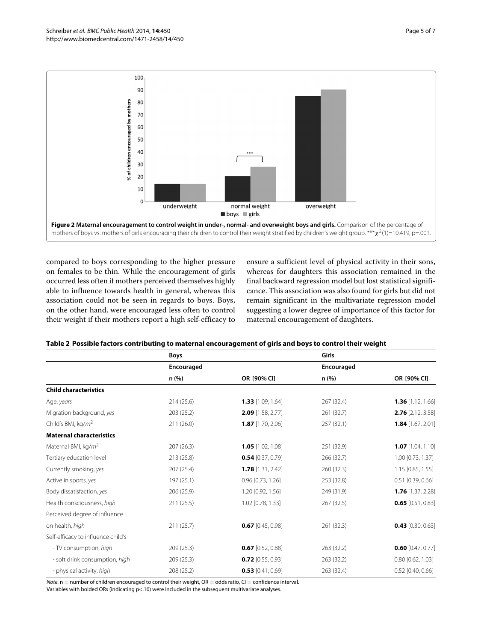

<span id="page-4-0"></span>compared to boys corresponding to the higher pressure on females to be thin. While the encouragement of girls occurred less often if mothers perceived themselves highly able to influence towards health in general, whereas this association could not be seen in regards to boys. Boys, on the other hand, were encouraged less often to control their weight if their mothers report a high self-efficacy to

ensure a sufficient level of physical activity in their sons, whereas for daughters this association remained in the final backward regression model but lost statistical significance. This association was also found for girls but did not remain significant in the multivariate regression model suggesting a lower degree of importance of this factor for maternal encouragement of daughters.

<span id="page-4-1"></span>

| Table 2 Possible factors contributing to maternal encouragement of girls and boys to control their weight |  |  |  |
|-----------------------------------------------------------------------------------------------------------|--|--|--|
|-----------------------------------------------------------------------------------------------------------|--|--|--|

|                                    | Boys       |                     | Girls      |                            |
|------------------------------------|------------|---------------------|------------|----------------------------|
|                                    | Encouraged |                     | Encouraged |                            |
|                                    | n (%)      | OR [90% CI]         | n (%)      | OR [90% CI]                |
| <b>Child characteristics</b>       |            |                     |            |                            |
| Age, years                         | 214(25.6)  | $1.33$ [1.09, 1.64] | 267 (32.4) | <b>1.36</b> $[1.12, 1.66]$ |
| Migration background, yes          | 203 (25.2) | $2.09$ [1.58, 2.77] | 261 (32.7) | 2.76 [2.12, 3.58]          |
| Child's BMI, kg/ $m^2$             | 211 (26.0) | $1.87$ [1.70, 2.06] | 257 (32.1) | $1.84$ [1.67, 2.01]        |
| <b>Maternal characteristics</b>    |            |                     |            |                            |
| Maternal BMI, kg/m <sup>2</sup>    | 207(26.3)  | $1.05$ [1.02, 1.08] | 251 (32.9) | <b>1.07</b> $[1.04, 1.10]$ |
| Tertiary education level           | 213 (25.8) | $0.54$ [0.37, 0.79] | 266 (32.7) | 1.00 [0.73, 1.37]          |
| Currently smoking, yes             | 207 (25.4) | $1.78$ [1.31, 2.42] | 260 (32.3) | 1.15 [0.85, 1.55]          |
| Active in sports, yes              | 197 (25.1) | $0.96$ [0.73, 1.26] | 253 (32.8) | $0.51$ [0.39, 0.66]        |
| Body dissatisfaction, yes          | 206 (25.9) | 1.20 [0.92, 1.56]   | 249 (31.9) | <b>1.76</b> $[1.37, 2.28]$ |
| Health consciousness, high         | 211 (25.5) | 1.02 [0.78, 1.33]   | 267 (32.5) | $0.65$ [0.51, 0.83]        |
| Perceived degree of influence      |            |                     |            |                            |
| on health, high                    | 211(25.7)  | $0.67$ [0.45, 0.98] | 261 (32.3) | $0.43$ [0.30, 0.63]        |
| Self-efficacy to influence child's |            |                     |            |                            |
| - TV consumption, high             | 209 (25.3) | $0.67$ [0.52, 0.88] | 263 (32.2) | $0.60$ [0.47, 0.77]        |
| - soft drink consumption, high     | 209(25.3)  | $0.72$ [0.55, 0.93] | 263 (32.2) | $0.80$ $[0.62, 1.03]$      |
| - physical activity, high          | 208 (25.2) | $0.53$ [0.41, 0.69] | 263 (32.4) | $0.52$ [0.40, 0.66]        |

*Note.* n = number of children encouraged to control their weight, OR = odds ratio, CI = confidence interval.

Variables with bolded ORs (indicating p<.10) were included in the subsequent multivariate analyses.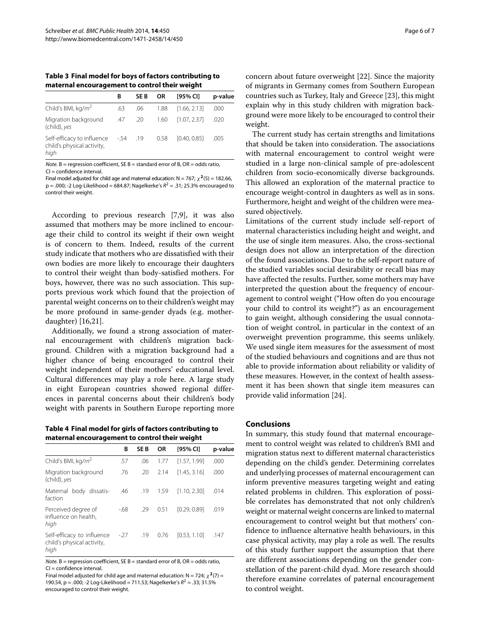<span id="page-5-0"></span>**Table 3 Final model for boys of factors contributing to maternal encouragement to control their weight**

|                                                                  | в        | <b>SEB</b> | OR   | [95% CI]     | p-value |
|------------------------------------------------------------------|----------|------------|------|--------------|---------|
| Child's BMI, kg/ $m^2$                                           | .63      | .06        | 1.88 | [1.66, 2.13] | .000    |
| Migration background<br>(child), yes                             | .47 .20  |            | 1.60 | [1.07, 2.37] | .020    |
| Self-efficacy to influence<br>child's physical activity,<br>high | -.54 .19 |            | 0.58 | [0.40, 0.85] | .005    |

*Note.* B = regression coefficient, SE B = standard error of B, OR = odds ratio, CI = confidence interval.

Final model adjusted for child age and maternal education: N = 767; *χ***2**(5) = 182.66,  $p = .000; -2$  Log-Likelihood = 684.87; Nagelkerke's  $R^2 = .31; 25.3%$  encouraged to control their weight.

According to previous research [\[7,](#page-6-7)[9\]](#page-6-6), it was also assumed that mothers may be more inclined to encourage their child to control its weight if their own weight is of concern to them. Indeed, results of the current study indicate that mothers who are dissatisfied with their own bodies are more likely to encourage their daughters to control their weight than body-satisfied mothers. For boys, however, there was no such association. This supports previous work which found that the projection of parental weight concerns on to their children's weight may be more profound in same-gender dyads (e.g. motherdaughter) [\[16](#page-6-14)[,21\]](#page-6-19).

Additionally, we found a strong association of maternal encouragement with children's migration background. Children with a migration background had a higher chance of being encouraged to control their weight independent of their mothers' educational level. Cultural differences may play a role here. A large study in eight European countries showed regional differences in parental concerns about their children's body weight with parents in Southern Europe reporting more

<span id="page-5-1"></span>**Table 4 Final model for girls of factors contributing to maternal encouragement to control their weight**

|                                                                  | В     | <b>SEB</b> | <b>OR</b> | [95% CI]     | p-value |  |
|------------------------------------------------------------------|-------|------------|-----------|--------------|---------|--|
| Child's BMI, kg/ $m2$                                            | .57   | .06        | 1.77      | [1.57, 1.99] | .000    |  |
| Migration background<br>(child), yes                             | .76   | .20        | 2.14      | [1.45, 3.16] | .000    |  |
| Maternal body dissatis-<br>faction                               | .46   | .19        | 1.59      | [1.10, 2.30] | .014    |  |
| Perceived degree of<br>influence on health,<br>high              | $-68$ | .29        | 0.51      | [0.29, 0.89] | .019    |  |
| Self-efficacy to influence<br>child's physical activity,<br>high | $-27$ | .19        | 0.76      | [0.53, 1.10] | .147    |  |

*Note.*  $B =$  regression coefficient. SE  $B =$  standard error of B,  $OR =$  odds ratio. CI = confidence interval.

Final model adjusted for child age and maternal education:  $N = 724$ ;  $\chi^2(7) =$ 190.54, p = .000; -2 Log-Likelihood = 711.53; Nagelkerke's *R*<sup>2</sup> = .33; 31.5% encouraged to control their weight.

concern about future overweight [\[22\]](#page-6-20). Since the majority of migrants in Germany comes from Southern European countries such as Turkey, Italy and Greece [\[23\]](#page-6-21), this might explain why in this study children with migration background were more likely to be encouraged to control their weight.

The current study has certain strengths and limitations that should be taken into consideration. The associations with maternal encouragement to control weight were studied in a large non-clinical sample of pre-adolescent children from socio-economically diverse backgrounds. This allowed an exploration of the maternal practice to encourage weight-control in daughters as well as in sons. Furthermore, height and weight of the children were measured objectively.

Limitations of the current study include self-report of maternal characteristics including height and weight, and the use of single item measures. Also, the cross-sectional design does not allow an interpretation of the direction of the found associations. Due to the self-report nature of the studied variables social desirability or recall bias may have affected the results. Further, some mothers may have interpreted the question about the frequency of encouragement to control weight ("How often do you encourage your child to control its weight?") as an encouragement to gain weight, although considering the usual connotation of weight control, in particular in the context of an overweight prevention programme, this seems unlikely. We used single item measures for the assessment of most of the studied behaviours and cognitions and are thus not able to provide information about reliability or validity of these measures. However, in the context of health assessment it has been shown that single item measures can provide valid information [\[24\]](#page-6-22).

## **Conclusions**

In summary, this study found that maternal encouragement to control weight was related to children's BMI and migration status next to different maternal characteristics depending on the child's gender. Determining correlates and underlying processes of maternal encouragement can inform preventive measures targeting weight and eating related problems in children. This exploration of possible correlates has demonstrated that not only children's weight or maternal weight concerns are linked to maternal encouragement to control weight but that mothers' confidence to influence alternative health behaviours, in this case physical activity, may play a role as well. The results of this study further support the assumption that there are different associations depending on the gender constellation of the parent-child dyad. More research should therefore examine correlates of paternal encouragement to control weight.